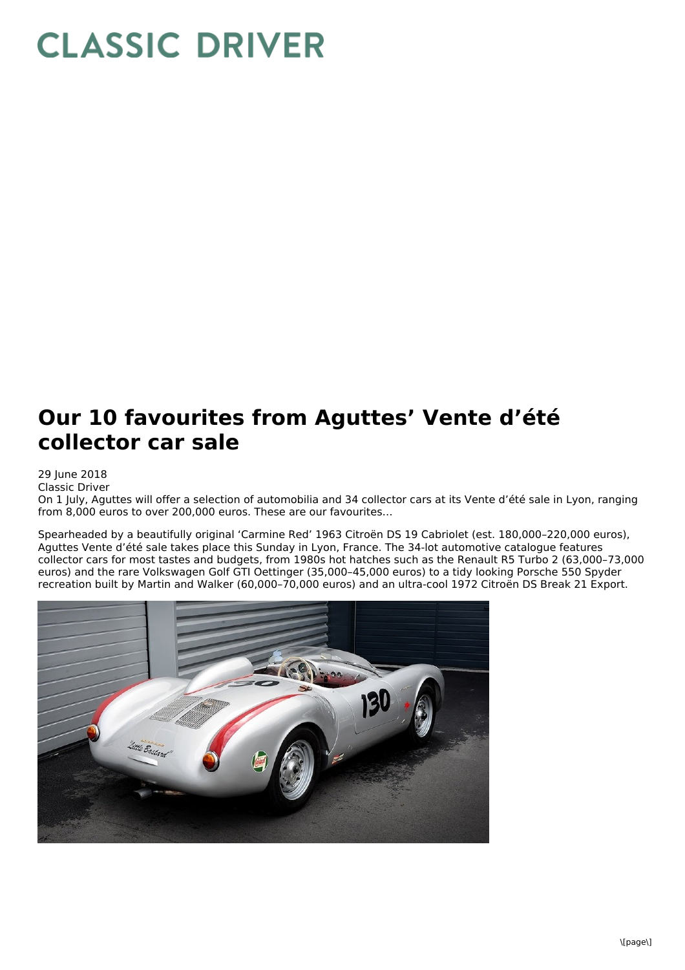## **CLASSIC DRIVER**

## **Our 10 favourites from Aguttes' Vente d'été collector car sale**

29 June 2018

Classic Driver

On 1 July, Aguttes will offer a selection of automobilia and 34 collector cars at its Vente d'été sale in Lyon, ranging from 8,000 euros to over 200,000 euros. These are our favourites…

Spearheaded by a beautifully original 'Carmine Red' 1963 Citroën DS 19 Cabriolet (est. 180,000–220,000 euros), Aguttes Vente d'été sale takes place this Sunday in Lyon, France. The 34-lot automotive catalogue features collector cars for most tastes and budgets, from 1980s hot hatches such as the Renault R5 Turbo 2 (63,000–73,000 euros) and the rare Volkswagen Golf GTI Oettinger (35,000–45,000 euros) to a tidy looking Porsche 550 Spyder recreation built by Martin and Walker (60,000–70,000 euros) and an ultra-cool 1972 Citroën DS Break 21 Export.